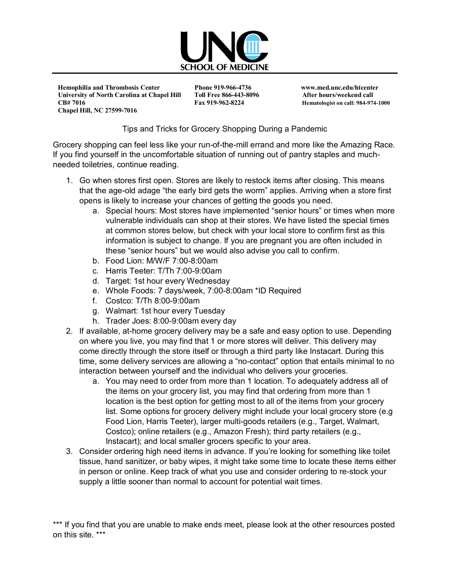

 **Hemophilia and Thrombosis Center Phone 919-966-4736 www.med.unc.edu/htcenter** University of North Carolina at Chapel Hill Toll Free 866-443-8096 After hours/weekend call  **CB# 7016 Fax 919-962-8224 Hematologist on call: 984-974-1000 Chapel Hill, NC 27599-7016** 

## Tips and Tricks for Grocery Shopping During a Pandemic

Grocery shopping can feel less like your run-of-the-mill errand and more like the Amazing Race. If you find yourself in the uncomfortable situation of running out of pantry staples and muchneeded toiletries, continue reading.

- 1. Go when stores first open. Stores are likely to restock items after closing. This means that the age-old adage "the early bird gets the worm" applies. Arriving when a store first opens is likely to increase your chances of getting the goods you need.
	- a. Special hours: Most stores have implemented "senior hours" or times when more vulnerable individuals can shop at their stores. We have listed the special times at common stores below, but check with your local store to confirm first as this information is subject to change. If you are pregnant you are often included in these "senior hours" but we would also advise you call to confirm.
	- b. Food Lion: M/W/F 7:00-8:00am
	- c. Harris Teeter: T/Th 7:00-9:00am
	- d. Target: 1st hour every Wednesday
	- e. Whole Foods: 7 days/week, 7:00-8:00am \*ID Required
	- f. Costco: T/Th 8:00-9:00am
	- g. Walmart: 1st hour every Tuesday
	- h. Trader Joes: 8:00-9:00am every day
- 2. If available, at-home grocery delivery may be a safe and easy option to use. Depending on where you live, you may find that 1 or more stores will deliver. This delivery may come directly through the store itself or through a third party like Instacart. During this time, some delivery services are allowing a "no-contact" option that entails minimal to no interaction between yourself and the individual who delivers your groceries.
	- a. You may need to order from more than 1 location. To adequately address all of the items on your grocery list, you may find that ordering from more than 1 location is the best option for getting most to all of the items from your grocery list. Some options for grocery delivery might include your local grocery store (e.g Food Lion, Harris Teeter), larger multi-goods retailers (e.g., Target, Walmart, Costco); online retailers (e.g., Amazon Fresh); third party retailers (e.g., Instacart); and local smaller grocers specific to your area.
- 3. Consider ordering high need items in advance. If you're looking for something like toilet tissue, hand sanitizer, or baby wipes, it might take some time to locate these items either in person or online. Keep track of what you use and consider ordering to re-stock your supply a little sooner than normal to account for potential wait times.

<sup>\*\*\*</sup> If you find that you are unable to make ends meet, please look at the other resources posted on this site. \*\*\*